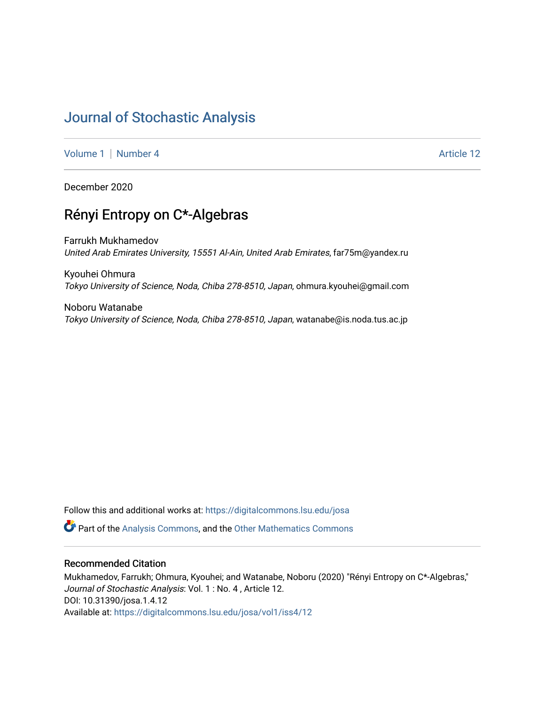# [Journal of Stochastic Analysis](https://digitalcommons.lsu.edu/josa)

[Volume 1](https://digitalcommons.lsu.edu/josa/vol1) | [Number 4](https://digitalcommons.lsu.edu/josa/vol1/iss4) Article 12

December 2020

# Rényi Entropy on C\*-Algebras

Farrukh Mukhamedov United Arab Emirates University, 15551 Al-Ain, United Arab Emirates, far75m@yandex.ru

Kyouhei Ohmura Tokyo University of Science, Noda, Chiba 278-8510, Japan, ohmura.kyouhei@gmail.com

Noboru Watanabe Tokyo University of Science, Noda, Chiba 278-8510, Japan, watanabe@is.noda.tus.ac.jp

Follow this and additional works at: [https://digitalcommons.lsu.edu/josa](https://digitalcommons.lsu.edu/josa?utm_source=digitalcommons.lsu.edu%2Fjosa%2Fvol1%2Fiss4%2F12&utm_medium=PDF&utm_campaign=PDFCoverPages) 

**P** Part of the [Analysis Commons](http://network.bepress.com/hgg/discipline/177?utm_source=digitalcommons.lsu.edu%2Fjosa%2Fvol1%2Fiss4%2F12&utm_medium=PDF&utm_campaign=PDFCoverPages), and the [Other Mathematics Commons](http://network.bepress.com/hgg/discipline/185?utm_source=digitalcommons.lsu.edu%2Fjosa%2Fvol1%2Fiss4%2F12&utm_medium=PDF&utm_campaign=PDFCoverPages)

# Recommended Citation

Mukhamedov, Farrukh; Ohmura, Kyouhei; and Watanabe, Noboru (2020) "Rényi Entropy on C\*-Algebras," Journal of Stochastic Analysis: Vol. 1 : No. 4 , Article 12. DOI: 10.31390/josa.1.4.12 Available at: [https://digitalcommons.lsu.edu/josa/vol1/iss4/12](https://digitalcommons.lsu.edu/josa/vol1/iss4/12?utm_source=digitalcommons.lsu.edu%2Fjosa%2Fvol1%2Fiss4%2F12&utm_medium=PDF&utm_campaign=PDFCoverPages)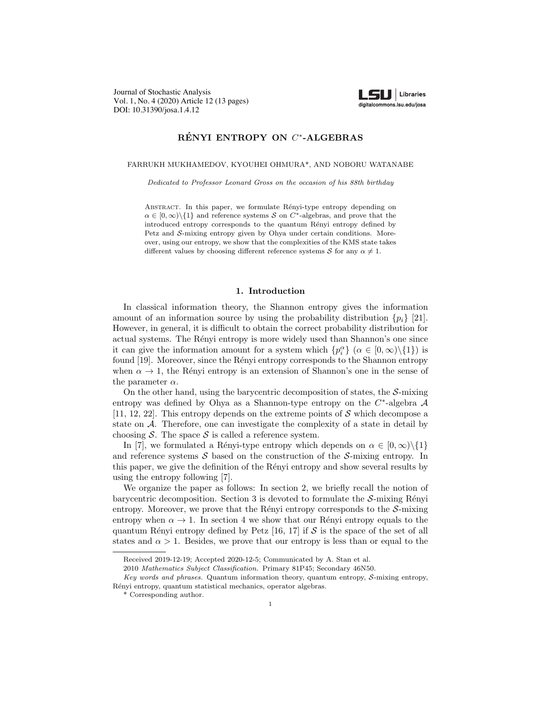Journal of Stochastic Analysis Vol. 1, No. 4 (2020) Article 12 (13 pages) DOI: 10.31390/josa.1.4.12



## RÉNYI ENTROPY ON  $C^*$ -ALGEBRAS

#### FARRUKH MUKHAMEDOV, KYOUHEI OHMURA\*, AND NOBORU WATANABE

*Dedicated to Professor Leonard Gross on the occasion of his 88th birthday*

ABSTRACT. In this paper, we formulate Rényi-type entropy depending on  $\alpha \in [0, \infty) \setminus \{1\}$  and reference systems *S* on *C*<sup>\*</sup>-algebras, and prove that the introduced entropy corresponds to the quantum Rényi entropy defined by Petz and *S*-mixing entropy given by Ohya under certain conditions. Moreover, using our entropy, we show that the complexities of the KMS state takes different values by choosing different reference systems *S* for any  $\alpha \neq 1$ .

#### 1. Introduction

In classical information theory, the Shannon entropy gives the information amount of an information source by using the probability distribution  $\{p_i\}$  [21]. However, in general, it is difficult to obtain the correct probability distribution for actual systems. The Rényi entropy is more widely used than Shannon's one since it can give the information amount for a system which  ${p_i^{\alpha}}$  ( $\alpha \in [0, \infty) \setminus \{1\}$ ) is found [19]. Moreover, since the Rényi entropy corresponds to the Shannon entropy when  $\alpha \to 1$ , the Rényi entropy is an extension of Shannon's one in the sense of the parameter  $\alpha$ .

On the other hand, using the barycentric decomposition of states, the *S*-mixing entropy was defined by Ohya as a Shannon-type entropy on the *C*∗-algebra *A* [11, 12, 22]. This entropy depends on the extreme points of *S* which decompose a state on *A*. Therefore, one can investigate the complexity of a state in detail by choosing  $S$ . The space  $S$  is called a reference system.

In [7], we formulated a Rényi-type entropy which depends on  $\alpha \in [0, \infty) \setminus \{1\}$ and reference systems *S* based on the construction of the *S*-mixing entropy. In this paper, we give the definition of the Rényi entropy and show several results by using the entropy following [7].

We organize the paper as follows: In section 2, we briefly recall the notion of barycentric decomposition. Section 3 is devoted to formulate the  $S$ -mixing Rényi entropy. Moreover, we prove that the Rényi entropy corresponds to the  $S$ -mixing entropy when  $\alpha \to 1$ . In section 4 we show that our Rényi entropy equals to the quantum Rényi entropy defined by Petz  $[16, 17]$  if *S* is the space of the set of all states and  $\alpha > 1$ . Besides, we prove that our entropy is less than or equal to the

Received 2019-12-19; Accepted 2020-12-5; Communicated by A. Stan et al.

<sup>2010</sup> *Mathematics Subject Classification.* Primary 81P45; Secondary 46N50.

*Key words and phrases.* Quantum information theory, quantum entropy, *S*-mixing entropy, Rényi entropy, quantum statistical mechanics, operator algebras.

<sup>\*</sup> Corresponding author.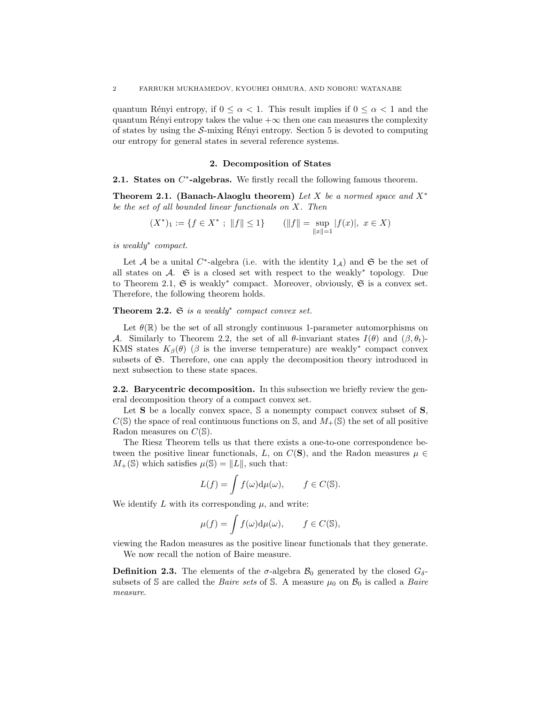quantum Rényi entropy, if  $0 \leq \alpha \leq 1$ . This result implies if  $0 \leq \alpha \leq 1$  and the quantum Rényi entropy takes the value  $+\infty$  then one can measures the complexity of states by using the  $S$ -mixing Rényi entropy. Section 5 is devoted to computing our entropy for general states in several reference systems.

#### 2. Decomposition of States

2.1. States on *C*<sup>∗</sup>-algebras. We firstly recall the following famous theorem.

Theorem 2.1. (Banach-Alaoglu theorem) *Let X be a normed space and X*<sup>∗</sup> *be the set of all bounded linear functionals on X. Then*

$$
(X^*)_1 := \{ f \in X^* ; ||f|| \le 1 \} \qquad (||f|| = \sup_{||x||=1} |f(x)|, \ x \in X)
$$

*is weakly*<sup>∗</sup> *compact.*

Let *A* be a unital  $C^*$ -algebra (i.e. with the identity  $1_A$ ) and G be the set of all states on  $\mathcal{A}$ .  $\mathfrak S$  is a closed set with respect to the weakly<sup>\*</sup> topology. Due to Theorem 2.1,  $\mathfrak S$  is weakly<sup>∗</sup> compact. Moreover, obviously,  $\mathfrak S$  is a convex set. Therefore, the following theorem holds.

Theorem 2.2. S *is a weakly*<sup>∗</sup> *compact convex set.*

Let  $\theta(\mathbb{R})$  be the set of all strongly continuous 1-parameter automorphisms on *A*. Similarly to Theorem 2.2, the set of all  $\theta$ -invariant states  $I(\theta)$  and  $(\beta, \theta_t)$ -KMS states  $K_{\beta}(\theta)$  ( $\beta$  is the inverse temperature) are weakly<sup>∗</sup> compact convex subsets of  $\mathfrak{S}$ . Therefore, one can apply the decomposition theory introduced in next subsection to these state spaces.

2.2. Barycentric decomposition. In this subsection we briefly review the general decomposition theory of a compact convex set.

Let  $S$  be a locally convex space,  $S$  a nonempty compact convex subset of  $S$ ,  $C(S)$  the space of real continuous functions on S, and  $M_{+}(S)$  the set of all positive Radon measures on *C*(S).

The Riesz Theorem tells us that there exists a one-to-one correspondence between the positive linear functionals, *L*, on  $C(S)$ , and the Radon measures  $\mu \in$  $M_{+}(\mathbb{S})$  which satisfies  $\mu(\mathbb{S}) = ||L||$ , such that:

$$
L(f) = \int f(\omega) d\mu(\omega), \qquad f \in C(\mathbb{S}).
$$

We identify  $L$  with its corresponding  $\mu$ , and write:

$$
\mu(f) = \int f(\omega) \mathrm{d}\mu(\omega), \qquad f \in C(\mathbb{S}),
$$

viewing the Radon measures as the positive linear functionals that they generate. We now recall the notion of Baire measure.

**Definition 2.3.** The elements of the  $\sigma$ -algebra  $\mathcal{B}_0$  generated by the closed  $G_{\delta}$ subsets of  $S$  are called the *Baire sets* of  $S$ . A measure  $\mu_0$  on  $\mathcal{B}_0$  is called a *Baire measure*.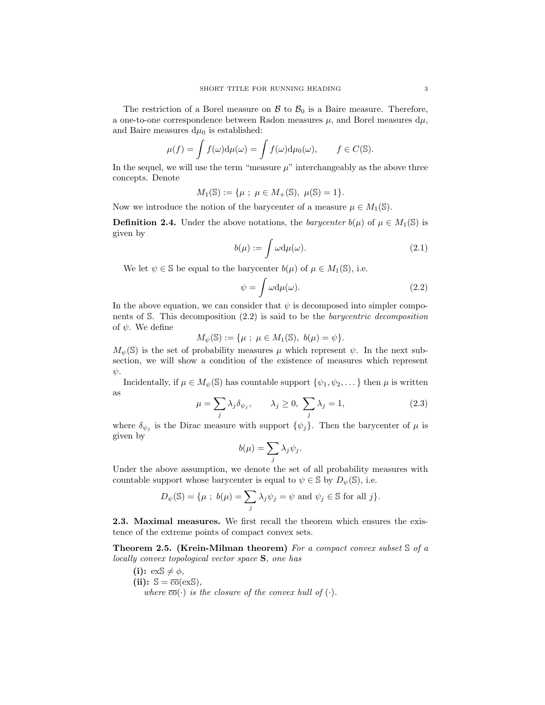The restriction of a Borel measure on  $\mathcal{B}$  to  $\mathcal{B}_0$  is a Baire measure. Therefore, a one-to-one correspondence between Radon measures  $\mu$ , and Borel measures  $d\mu$ , and Baire measures  $d\mu_0$  is established:

$$
\mu(f) = \int f(\omega) d\mu(\omega) = \int f(\omega) d\mu_0(\omega), \qquad f \in C(\mathbb{S}).
$$

In the sequel, we will use the term "measure  $\mu$ " interchangeably as the above three concepts. Denote

$$
M_1(\mathbb{S}) := \{ \mu \; ; \; \mu \in M_+(\mathbb{S}), \; \mu(\mathbb{S}) = 1 \}.
$$

Now we introduce the notion of the barycenter of a measure  $\mu \in M_1(\mathbb{S})$ .

**Definition 2.4.** Under the above notations, the *barycenter*  $b(\mu)$  of  $\mu \in M_1(\mathbb{S})$  is given by

$$
b(\mu) := \int \omega \, \mathrm{d}\mu(\omega). \tag{2.1}
$$

We let  $\psi \in \mathbb{S}$  be equal to the barycenter  $b(\mu)$  of  $\mu \in M_1(\mathbb{S})$ , i.e.

$$
\psi = \int \omega \mathrm{d}\mu(\omega). \tag{2.2}
$$

In the above equation, we can consider that  $\psi$  is decomposed into simpler components of S. This decomposition (2.2) is said to be the *barycentric decomposition* of  $\psi$ . We define

$$
M_{\psi}(\mathbb{S}) := {\mu ; \mu \in M_1(\mathbb{S}), b(\mu) = \psi}.
$$

 $M_{\psi}(\mathbb{S})$  is the set of probability measures  $\mu$  which represent  $\psi$ . In the next subsection, we will show a condition of the existence of measures which represent  $\psi$ .

Incidentally, if  $\mu \in M_{\psi}(\mathbb{S})$  has countable support  $\{\psi_1, \psi_2, \dots\}$  then  $\mu$  is written as

$$
\mu = \sum_{j} \lambda_j \delta_{\psi_j}, \qquad \lambda_j \ge 0, \ \sum_{j} \lambda_j = 1,\tag{2.3}
$$

where  $\delta_{\psi_j}$  is the Dirac measure with support  $\{\psi_j\}$ . Then the barycenter of  $\mu$  is given by

$$
b(\mu) = \sum_j \lambda_j \psi_j.
$$

Under the above assumption, we denote the set of all probability measures with countable support whose barycenter is equal to  $\psi \in \mathbb{S}$  by  $D_{\psi}(\mathbb{S})$ , i.e.

$$
D_{\psi}(\mathbb{S}) = \{\mu \; ; \; b(\mu) = \sum_{j} \lambda_j \psi_j = \psi \text{ and } \psi_j \in \mathbb{S} \text{ for all } j \}.
$$

2.3. Maximal measures. We first recall the theorem which ensures the existence of the extreme points of compact convex sets.

Theorem 2.5. (Krein-Milman theorem) *For a compact convex subset* S *of a locally convex topological vector space* S*, one has*

(i): 
$$
exS \neq \phi
$$
,  
(ii):  $S = \overline{co}(exS)$ ,  
where  $\overline{co}(\cdot)$  is the closure of the convex hull of  $(\cdot)$ .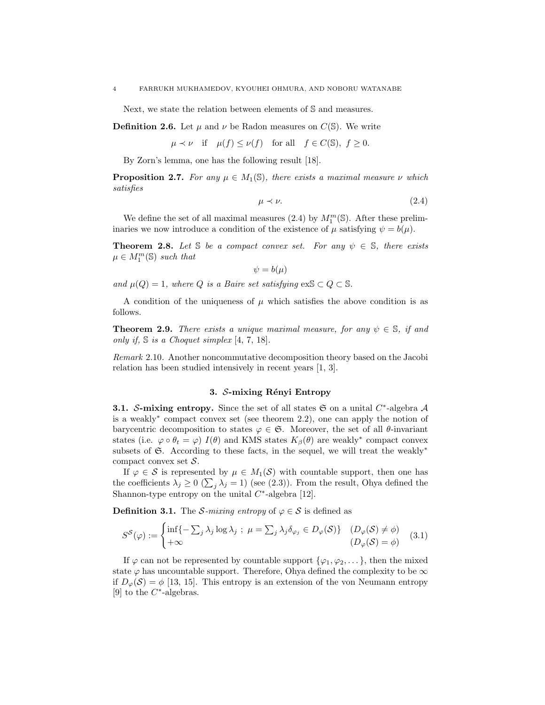Next, we state the relation between elements of S and measures.

**Definition 2.6.** Let  $\mu$  and  $\nu$  be Radon measures on  $C(\mathbb{S})$ . We write

 $\mu \prec \nu$  if  $\mu(f) \leq \nu(f)$  for all  $f \in C(\mathbb{S}), f \geq 0.$ 

By Zorn's lemma, one has the following result [18].

**Proposition 2.7.** *For any*  $\mu \in M_1(\mathbb{S})$ *, there exists a maximal measure*  $\nu$  *which satisfies*

$$
\mu \prec \nu. \tag{2.4}
$$

We define the set of all maximal measures (2.4) by  $M_1^m(\mathbb{S})$ . After these preliminaries we now introduce a condition of the existence of  $\mu$  satisfying  $\psi = b(\mu)$ .

**Theorem 2.8.** Let S be a compact convex set. For any  $\psi \in S$ , there exists  $\mu \in M_1^m(\mathbb{S})$  *such that* 

 $\psi = b(\mu)$ 

*and*  $\mu(Q) = 1$ *, where Q is a Baire set satisfying* ex $S \subset Q \subset S$ *.* 

A condition of the uniqueness of  $\mu$  which satisfies the above condition is as follows.

**Theorem 2.9.** *There exists a unique maximal measure, for any*  $\psi \in \mathbb{S}$ *, if and only if,* S *is a Choquet simplex* [4, 7, 18]*.*

*Remark* 2.10*.* Another noncommutative decomposition theory based on the Jacobi relation has been studied intensively in recent years [1, 3].

## 3. *S*-mixing Rényi Entropy

3.1. *S*-mixing entropy. Since the set of all states S on a unital *C*∗-algebra *A* is a weakly<sup>∗</sup> compact convex set (see theorem 2.2), one can apply the notion of barycentric decomposition to states  $\varphi \in \mathfrak{S}$ . Moreover, the set of all  $\theta$ -invariant states (i.e.  $\varphi \circ \theta_t = \varphi$ ) *I*( $\theta$ ) and KMS states  $K_\beta(\theta)$  are weakly<sup>\*</sup> compact convex subsets of  $\mathfrak{S}$ . According to these facts, in the sequel, we will treat the weakly<sup>\*</sup> compact convex set *S*.

If  $\varphi \in \mathcal{S}$  is represented by  $\mu \in M_1(\mathcal{S})$  with countable support, then one has the coefficients  $\lambda_j \geq 0$  ( $\sum_j \lambda_j = 1$ ) (see (2.3)). From the result, Ohya defined the Shannon-type entropy on the unital *C*∗-algebra [12].

**Definition 3.1.** The *S*-mixing entropy of  $\varphi \in S$  is defined as

$$
S^{\mathcal{S}}(\varphi) := \begin{cases} \inf \{-\sum_{j} \lambda_{j} \log \lambda_{j} ; \ \mu = \sum_{j} \lambda_{j} \delta_{\varphi_{j}} \in D_{\varphi}(\mathcal{S}) \} & (D_{\varphi}(\mathcal{S}) \neq \phi) \\ +\infty & (D_{\varphi}(\mathcal{S}) = \phi) \end{cases}
$$
 (3.1)

If  $\varphi$  can not be represented by countable support  $\{\varphi_1, \varphi_2, \dots\}$ , then the mixed state  $\varphi$  has uncountable support. Therefore, Ohya defined the complexity to be  $\infty$ if  $D_{\varphi}(\mathcal{S}) = \phi$  [13, 15]. This entropy is an extension of the von Neumann entropy [9] to the *C*∗-algebras.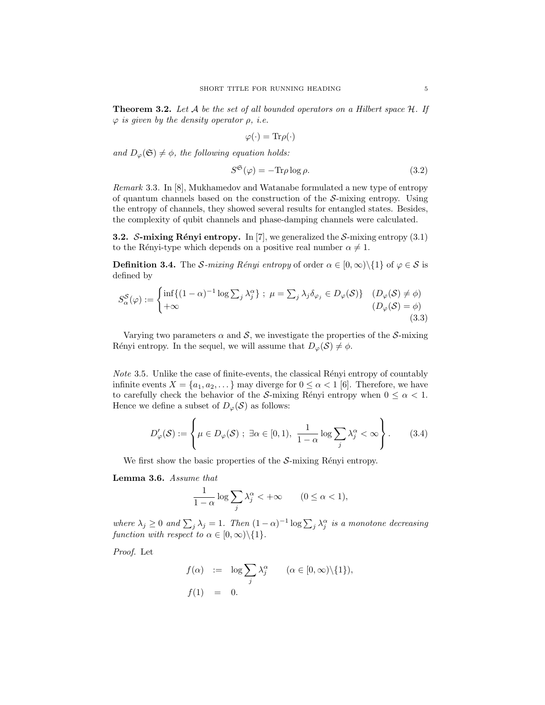Theorem 3.2. *Let A be the set of all bounded operators on a Hilbert space H. If* ϕ *is given by the density operator* ρ*, i.e.*

$$
\varphi(\cdot) = \text{Tr}\rho(\cdot)
$$

*and*  $D_{\varphi}(\mathfrak{S}) \neq \emptyset$ *, the following equation holds:* 

$$
S^{\mathfrak{S}}(\varphi) = -\text{Tr}\rho \log \rho. \tag{3.2}
$$

*Remark* 3.3*.* In [8], Mukhamedov and Watanabe formulated a new type of entropy of quantum channels based on the construction of the *S*-mixing entropy. Using the entropy of channels, they showed several results for entangled states. Besides, the complexity of qubit channels and phase-damping channels were calculated.

**3.2.** *S*-mixing Rényi entropy. In [7], we generalized the *S*-mixing entropy (3.1) to the Rényi-type which depends on a positive real number  $\alpha \neq 1$ .

**Definition 3.4.** The *S-mixing Rényi entropy* of order  $\alpha \in [0,\infty) \setminus \{1\}$  of  $\varphi \in S$  is defined by

$$
S_{\alpha}^{\mathcal{S}}(\varphi) := \begin{cases} \inf\{(1-\alpha)^{-1}\log\sum_{j}\lambda_{j}^{\alpha}\} \ ; \ \mu = \sum_{j}\lambda_{j}\delta_{\varphi_{j}} \in D_{\varphi}(\mathcal{S})\} & (D_{\varphi}(\mathcal{S}) \neq \phi) \\ +\infty & (D_{\varphi}(\mathcal{S}) = \phi) \end{cases}
$$
(3.3)

Varying two parameters  $\alpha$  and  $\delta$ , we investigate the properties of the  $\delta$ -mixing Rényi entropy. In the sequel, we will assume that  $D_{\varphi}(\mathcal{S}) \neq \phi$ .

*Note* 3.5. Unlike the case of finite-events, the classical Rényi entropy of countably infinite events  $X = \{a_1, a_2, \dots\}$  may diverge for  $0 \leq \alpha < 1$  [6]. Therefore, we have to carefully check the behavior of the *S*-mixing Rényi entropy when  $0 \leq \alpha < 1$ . Hence we define a subset of  $D_{\varphi}(\mathcal{S})$  as follows:

$$
D_{\varphi}'(\mathcal{S}) := \left\{ \mu \in D_{\varphi}(\mathcal{S}) \; ; \; \exists \alpha \in [0, 1), \; \frac{1}{1 - \alpha} \log \sum_{j} \lambda_j^{\alpha} < \infty \right\}. \tag{3.4}
$$

We first show the basic properties of the  $S$ -mixing Rényi entropy.

Lemma 3.6. *Assume that*

$$
\frac{1}{1-\alpha}\log\sum_{j}\lambda_j^{\alpha} < +\infty \qquad (0 \le \alpha < 1),
$$

*where*  $\lambda_j \geq 0$  *and*  $\sum_j \lambda_j = 1$ *. Then*  $(1 - \alpha)^{-1} \log \sum_j \lambda_j^{\alpha}$  *is a monotone decreasing function with respect to*  $\alpha \in [0, \infty) \setminus \{1\}$ *.* 

*Proof.* Let

$$
f(\alpha) := \log \sum_{j} \lambda_j^{\alpha} \qquad (\alpha \in [0, \infty) \setminus \{1\}),
$$
  

$$
f(1) = 0.
$$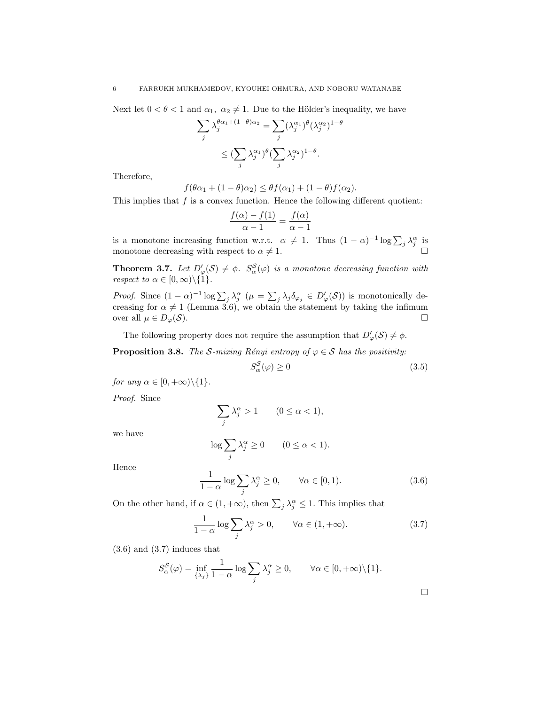Next let  $0 < \theta < 1$  and  $\alpha_1, \alpha_2 \neq 1$ . Due to the Hölder's inequality, we have

$$
\sum_{j} \lambda_j^{\theta \alpha_1 + (1-\theta)\alpha_2} = \sum_{j} (\lambda_j^{\alpha_1})^{\theta} (\lambda_j^{\alpha_2})^{1-\theta}
$$

$$
\leq (\sum_{j} \lambda_j^{\alpha_1})^{\theta} (\sum_{j} \lambda_j^{\alpha_2})^{1-\theta}.
$$

Therefore,

$$
f(\theta\alpha_1 + (1 - \theta)\alpha_2) \leq \theta f(\alpha_1) + (1 - \theta)f(\alpha_2).
$$

This implies that *f* is a convex function. Hence the following different quotient:

$$
\frac{f(\alpha) - f(1)}{\alpha - 1} = \frac{f(\alpha)}{\alpha - 1}
$$

is a monotone increasing function w.r.t.  $\alpha \neq 1$ . Thus  $(1 - \alpha)^{-1} \log \sum_j \lambda_j^{\alpha}$  is monotone decreasing with respect to  $\alpha \neq 1$ .

**Theorem 3.7.** Let  $D'_{\varphi}(\mathcal{S}) \neq \emptyset$ .  $S^{\mathcal{S}}_{\alpha}(\varphi)$  is a monotone decreasing function with *respect to*  $\alpha \in [0, \infty) \setminus \{1\}$ *.* 

*Proof.* Since  $(1 - \alpha)^{-1} \log \sum_j \lambda_j^{\alpha} (\mu = \sum_j \lambda_j \delta_{\varphi_j} \in D'_{\varphi}(\mathcal{S}))$  is monotonically decreasing for  $\alpha \neq 1$  (Lemma 3.6), we obtain the statement by taking the infimum over all  $\mu \in D_{\varphi}(\mathcal{S})$ .

The following property does not require the assumption that  $D'_{\varphi}(\mathcal{S}) \neq \phi$ .

**Proposition 3.8.** *The S-mixing Rényi entropy of*  $\varphi \in S$  *has the positivity:* 

$$
S_{\alpha}^{S}(\varphi) \ge 0 \tag{3.5}
$$

*for any*  $\alpha \in [0, +\infty) \setminus \{1\}$ *.* 

*Proof.* Since

$$
\sum_j \lambda_j^{\alpha} > 1 \qquad (0 \le \alpha < 1),
$$

we have

$$
\log \sum_{j} \lambda_j^{\alpha} \ge 0 \qquad (0 \le \alpha < 1).
$$

Hence

$$
\frac{1}{1-\alpha}\log\sum_{j}\lambda_j^{\alpha} \ge 0, \qquad \forall \alpha \in [0,1). \tag{3.6}
$$

On the other hand, if  $\alpha \in (1, +\infty)$ , then  $\sum_j \lambda_j^{\alpha} \leq 1$ . This implies that

$$
\frac{1}{1-\alpha}\log\sum_{j}\lambda_j^{\alpha} > 0, \qquad \forall \alpha \in (1, +\infty). \tag{3.7}
$$

 $(3.6)$  and  $(3.7)$  induces that

$$
S_{\alpha}^{\mathcal{S}}(\varphi) = \inf_{\{\lambda_j\}} \frac{1}{1-\alpha} \log \sum_{j} \lambda_j^{\alpha} \ge 0, \qquad \forall \alpha \in [0, +\infty) \setminus \{1\}.
$$

 $\Box$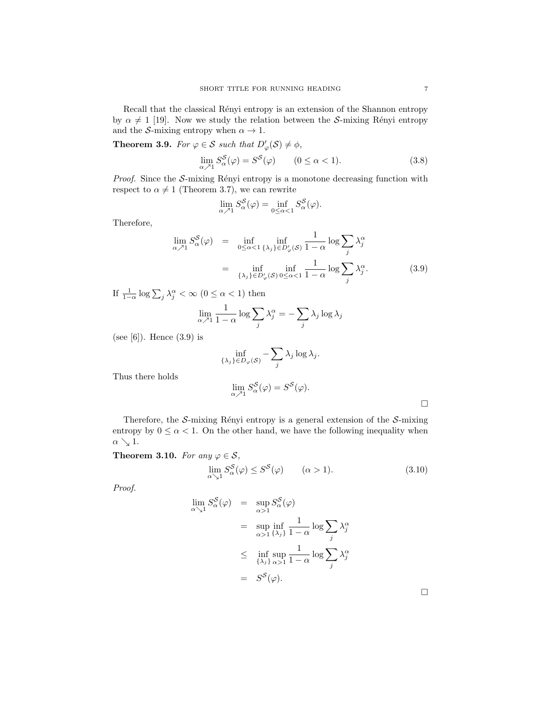Recall that the classical Rényi entropy is an extension of the Shannon entropy by  $\alpha \neq 1$  [19]. Now we study the relation between the *S*-mixing Rényi entropy and the *S*-mixing entropy when  $\alpha \to 1$ .

**Theorem 3.9.** *For*  $\varphi \in \mathcal{S}$  *such that*  $D'_{\varphi}(\mathcal{S}) \neq \varphi$ *,* 

$$
\lim_{\alpha \nearrow 1} S_{\alpha}^{\mathcal{S}}(\varphi) = S^{\mathcal{S}}(\varphi) \qquad (0 \le \alpha < 1). \tag{3.8}
$$

*Proof.* Since the *S*-mixing Rényi entropy is a monotone decreasing function with respect to  $\alpha \neq 1$  (Theorem 3.7), we can rewrite

$$
\lim_{\alpha \nearrow 1} S_{\alpha}^{S}(\varphi) = \inf_{0 \leq \alpha < 1} S_{\alpha}^{S}(\varphi).
$$

Therefore,

$$
\lim_{\alpha \nearrow 1} S_{\alpha}^{S}(\varphi) = \inf_{0 \leq \alpha < 1} \inf_{\{\lambda_{j}\} \in D_{\varphi}'(\mathcal{S})} \frac{1}{1 - \alpha} \log \sum_{j} \lambda_{j}^{\alpha}
$$
\n
$$
= \inf_{\{\lambda_{j}\} \in D_{\varphi}'(\mathcal{S})} \inf_{0 \leq \alpha < 1} \frac{1}{1 - \alpha} \log \sum_{j} \lambda_{j}^{\alpha}.\tag{3.9}
$$

If  $\frac{1}{1-\alpha} \log \sum_j \lambda_j^{\alpha} < \infty$  ( $0 \leq \alpha < 1$ ) then

$$
\lim_{\alpha \nearrow 1} \frac{1}{1 - \alpha} \log \sum_{j} \lambda_j^{\alpha} = -\sum_{j} \lambda_j \log \lambda_j
$$

(see [6]). Hence (3.9) is

$$
\inf_{\{\lambda_j\}\in D_{\varphi}(\mathcal{S})} - \sum_j \lambda_j \log \lambda_j.
$$

Thus there holds

$$
\lim_{\alpha \nearrow 1} S_{\alpha}^{S}(\varphi) = S^{S}(\varphi).
$$

Therefore, the *S*-mixing Rényi entropy is a general extension of the *S*-mixing entropy by  $0 \leq \alpha < 1$ . On the other hand, we have the following inequality when  $\alpha \searrow 1$ .

Theorem 3.10. For any  $\varphi \in \mathcal{S}$ ,

$$
\lim_{\alpha \searrow 1} S_{\alpha}^{\mathcal{S}}(\varphi) \le S^{\mathcal{S}}(\varphi) \qquad (\alpha > 1). \tag{3.10}
$$

*Proof.*

$$
\lim_{\alpha \searrow 1} S_{\alpha}^{S}(\varphi) = \sup_{\alpha > 1} S_{\alpha}^{S}(\varphi)
$$
  
\n
$$
= \sup_{\alpha > 1} \inf_{\{\lambda_j\}} \frac{1}{1 - \alpha} \log \sum_{j} \lambda_j^{\alpha}
$$
  
\n
$$
\leq \inf_{\{\lambda_j\}} \sup_{\alpha > 1} \frac{1}{1 - \alpha} \log \sum_{j} \lambda_j^{\alpha}
$$
  
\n
$$
= S^{S}(\varphi).
$$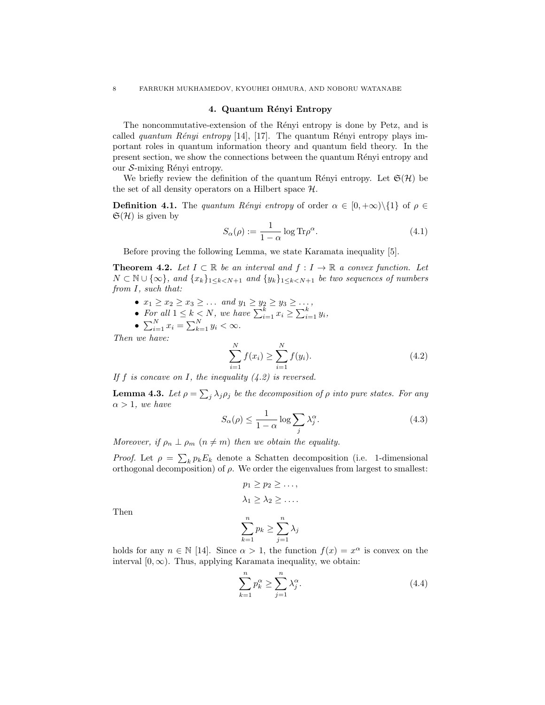### 4. Quantum Rényi Entropy

The noncommutative-extension of the Rényi entropy is done by Petz, and is called *quantum Rényi entropy* [14], [17]. The quantum Rényi entropy plays important roles in quantum information theory and quantum field theory. In the present section, we show the connections between the quantum Rényi entropy and our *S*-mixing Rényi entropy.

We briefly review the definition of the quantum Rényi entropy. Let  $\mathfrak{S}(\mathcal{H})$  be the set of all density operators on a Hilbert space *H*.

**Definition 4.1.** The *quantum Rényi entropy* of order  $\alpha \in [0, +\infty) \setminus \{1\}$  of  $\rho \in$  $\mathfrak{S}(\mathcal{H})$  is given by

$$
S_{\alpha}(\rho) := \frac{1}{1 - \alpha} \log \text{Tr} \rho^{\alpha}.
$$
 (4.1)

Before proving the following Lemma, we state Karamata inequality [5].

**Theorem 4.2.** Let  $I \subset \mathbb{R}$  be an interval and  $f : I \to \mathbb{R}$  a convex function. Let *N* ⊂  $\mathbb{N}$  ∪ {∞}*, and*  $\{x_k\}_{1\leq k\leq N+1}$  *and*  $\{y_k\}_{1\leq k\leq N+1}$  *be two sequences of numbers from I, such that:*

- $x_1 \ge x_2 \ge x_3 \ge \ldots$  *and*  $y_1 \ge y_2 \ge y_3 \ge \ldots$ ,
- For all  $1 \leq k \leq N$ , we have  $\sum_{i=1}^{k} x_i \geq \sum_{i=1}^{k} y_i$ ,
- $\sum_{i=1}^{N} x_i = \sum_{k=1}^{N} y_i < \infty$ .

*Then we have:*

$$
\sum_{i=1}^{N} f(x_i) \ge \sum_{i=1}^{N} f(y_i). \tag{4.2}
$$

*If f is concave on I, the inequality (4.2) is reversed.*

**Lemma 4.3.** Let  $\rho = \sum_j \lambda_j \rho_j$  be the decomposition of  $\rho$  into pure states. For any  $\alpha > 1$ *, we have* 

$$
S_{\alpha}(\rho) \le \frac{1}{1-\alpha} \log \sum_{j} \lambda_j^{\alpha}.
$$
 (4.3)

*Moreover, if*  $\rho_n \perp \rho_m$   $(n \neq m)$  *then we obtain the equality.* 

*Proof.* Let  $\rho = \sum_{k} p_k E_k$  denote a Schatten decomposition (i.e. 1-dimensional orthogonal decomposition) of  $\rho$ . We order the eigenvalues from largest to smallest:

$$
p_1 \ge p_2 \ge \dots,
$$
  

$$
\lambda_1 \ge \lambda_2 \ge \dots
$$
  

$$
\sum_{k=1}^{n} p_k > \sum_{k=1}^{n} \lambda_k
$$

Then

$$
\sum_{k=1}^{n} p_k \ge \sum_{j=1}^{n} \lambda_j
$$

holds for any  $n \in \mathbb{N}$  [14]. Since  $\alpha > 1$ , the function  $f(x) = x^{\alpha}$  is convex on the interval  $[0, \infty)$ . Thus, applying Karamata inequality, we obtain:

$$
\sum_{k=1}^{n} p_k^{\alpha} \ge \sum_{j=1}^{n} \lambda_j^{\alpha}.
$$
\n(4.4)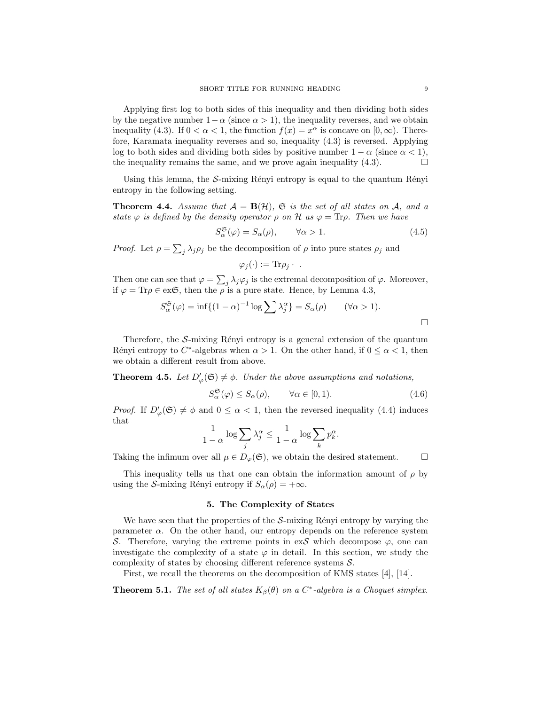Applying first log to both sides of this inequality and then dividing both sides by the negative number  $1-\alpha$  (since  $\alpha > 1$ ), the inequality reverses, and we obtain inequality (4.3). If  $0 < \alpha < 1$ , the function  $f(x) = x^{\alpha}$  is concave on  $[0, \infty)$ . Therefore, Karamata inequality reverses and so, inequality (4.3) is reversed. Applying log to both sides and dividing both sides by positive number  $1 - \alpha$  (since  $\alpha < 1$ ), the inequality remains the same, and we prove again inequality (4.3). the inequality remains the same, and we prove again inequality  $(4.3)$ .

Using this lemma, the  $S$ -mixing Rényi entropy is equal to the quantum Rényi entropy in the following setting.

**Theorem 4.4.** Assume that  $A = B(H)$ ,  $\mathfrak{S}$  is the set of all states on A, and a *state*  $\varphi$  *is defined by the density operator*  $\rho$  *on*  $\mathcal{H}$  *as*  $\varphi = \text{Tr} \rho$ *. Then we have* 

$$
S_{\alpha}^{\mathfrak{S}}(\varphi) = S_{\alpha}(\rho), \qquad \forall \alpha > 1. \tag{4.5}
$$

*Proof.* Let  $\rho = \sum_j \lambda_j \rho_j$  be the decomposition of  $\rho$  into pure states  $\rho_j$  and

$$
\varphi_j(\cdot) := \text{Tr} \rho_j \cdot \; .
$$

Then one can see that  $\varphi = \sum_j \lambda_j \varphi_j$  is the extremal decomposition of  $\varphi$ . Moreover, if  $\varphi = \text{Tr}\rho \in \text{ex}\mathfrak{S}$ , then the  $\rho$  is a pure state. Hence, by Lemma 4.3,

$$
S_{\alpha}^{\mathfrak{S}}(\varphi) = \inf \{ (1 - \alpha)^{-1} \log \sum \lambda_j^{\alpha} \} = S_{\alpha}(\rho) \qquad (\forall \alpha > 1).
$$

Therefore, the  $S$ -mixing Rényi entropy is a general extension of the quantum Rényi entropy to  $C^*$ -algebras when  $\alpha > 1$ . On the other hand, if  $0 \leq \alpha \leq 1$ , then we obtain a different result from above.

**Theorem 4.5.** Let  $D'_{\varphi}(\mathfrak{S}) \neq \emptyset$ . Under the above assumptions and notations,

$$
S_{\alpha}^{\mathfrak{S}}(\varphi) \le S_{\alpha}(\rho), \qquad \forall \alpha \in [0,1). \tag{4.6}
$$

*Proof.* If  $D'_{\varphi}(\mathfrak{S}) \neq \emptyset$  and  $0 \leq \alpha < 1$ , then the reversed inequality (4.4) induces that

$$
\frac{1}{1-\alpha}\log\sum_{j}\lambda_j^{\alpha} \le \frac{1}{1-\alpha}\log\sum_{k}p_k^{\alpha}.
$$

Taking the infimum over all  $\mu \in D_{\varphi}(\mathfrak{S})$ , we obtain the desired statement.  $\Box$ 

This inequality tells us that one can obtain the information amount of  $\rho$  by using the *S*-mixing Rényi entropy if  $S_\alpha(\rho) = +\infty$ .

## 5. The Complexity of States

We have seen that the properties of the  $S$ -mixing Rényi entropy by varying the parameter  $\alpha$ . On the other hand, our entropy depends on the reference system *S*. Therefore, varying the extreme points in ex*S* which decompose  $\varphi$ , one can investigate the complexity of a state  $\varphi$  in detail. In this section, we study the complexity of states by choosing different reference systems *S*.

First, we recall the theorems on the decomposition of KMS states [4], [14].

**Theorem 5.1.** *The set of all states*  $K_{\beta}(\theta)$  *on a*  $C^*$ -algebra is a Choquet simplex.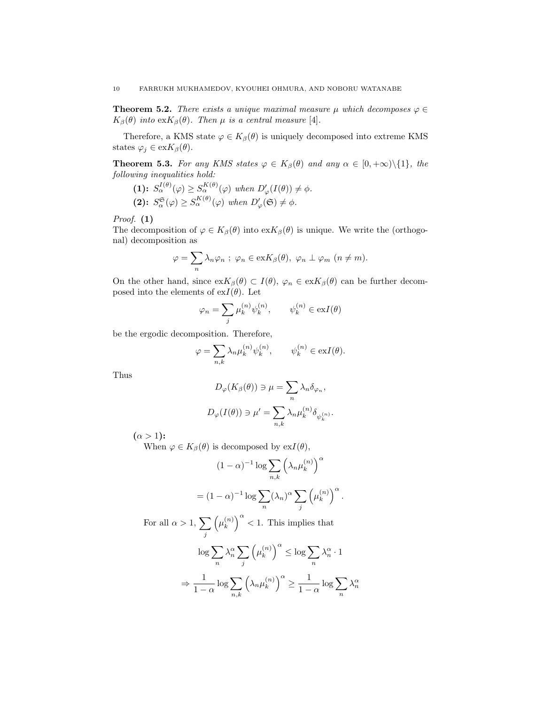**Theorem 5.2.** *There exists a unique maximal measure*  $\mu$  *which decomposes*  $\varphi \in$  $K_{\beta}(\theta)$  *into* ex $K_{\beta}(\theta)$ *. Then*  $\mu$  *is a central measure* [4]*.* 

Therefore, a KMS state  $\varphi \in K_{\beta}(\theta)$  is uniquely decomposed into extreme KMS states  $\varphi_j \in \text{ex} K_\beta(\theta)$ .

**Theorem 5.3.** *For any KMS states*  $\varphi \in K_{\beta}(\theta)$  *and any*  $\alpha \in [0, +\infty) \setminus \{1\}$ *, the following inequalities hold:*

 $(1): S_{\alpha}^{I(\theta)}(\varphi) \geq S_{\alpha}^{K(\theta)}(\varphi)$  when  $D'_{\varphi}(I(\theta)) \neq \phi$ .  $(S_{\alpha}^{\mathfrak{S}}(\varphi) \geq S_{\alpha}^{K(\theta)}(\varphi) \text{ when } D'_{\varphi}(\mathfrak{S}) \neq \phi.$ 

*Proof.* (1)

The decomposition of  $\varphi \in K_{\beta}(\theta)$  into  $\exp(\theta)$  is unique. We write the (orthogonal) decomposition as

$$
\varphi = \sum_{n} \lambda_n \varphi_n \; ; \; \varphi_n \in \text{ex} K_\beta(\theta), \; \varphi_n \perp \varphi_m \; (n \neq m).
$$

On the other hand, since  $exK_{\beta}(\theta) \subset I(\theta)$ ,  $\varphi_n \in exK_{\beta}(\theta)$  can be further decomposed into the elements of  $exI(\theta)$ . Let

$$
\varphi_n = \sum_j \mu_k^{(n)} \psi_k^{(n)}, \qquad \psi_k^{(n)} \in \text{ex}I(\theta)
$$

be the ergodic decomposition. Therefore,

$$
\varphi = \sum_{n,k} \lambda_n \mu_k^{(n)} \psi_k^{(n)}, \qquad \psi_k^{(n)} \in \text{ex} I(\theta).
$$

Thus

$$
D_{\varphi}(K_{\beta}(\theta)) \ni \mu = \sum_{n} \lambda_{n} \delta_{\varphi_{n}},
$$

$$
D_{\varphi}(I(\theta)) \ni \mu' = \sum_{n,k} \lambda_{n} \mu_{k}^{(n)} \delta_{\psi_{k}^{(n)}}.
$$

 $(\alpha > 1)$ :

When  $\varphi \in K_{\beta}(\theta)$  is decomposed by  $exI(\theta)$ ,

$$
(1 - \alpha)^{-1} \log \sum_{n,k} \left(\lambda_n \mu_k^{(n)}\right)^{\alpha}
$$

$$
= (1 - \alpha)^{-1} \log \sum_n (\lambda_n)^{\alpha} \sum_j \left(\mu_k^{(n)}\right)^{\alpha}.
$$

For all  $\alpha > 1$ ,  $\sum$ *j*  $\left(\mu_k^{(n)}\right)^{\alpha} < 1$ . This implies that

$$
\log \sum_{n} \lambda_n^{\alpha} \sum_{j} \left(\mu_k^{(n)}\right)^{\alpha} \le \log \sum_{n} \lambda_n^{\alpha} \cdot 1
$$

$$
\Rightarrow \frac{1}{1-\alpha} \log \sum_{n,k} \left(\lambda_n \mu_k^{(n)}\right)^{\alpha} \ge \frac{1}{1-\alpha} \log \sum_{n} \lambda_n^{\alpha}
$$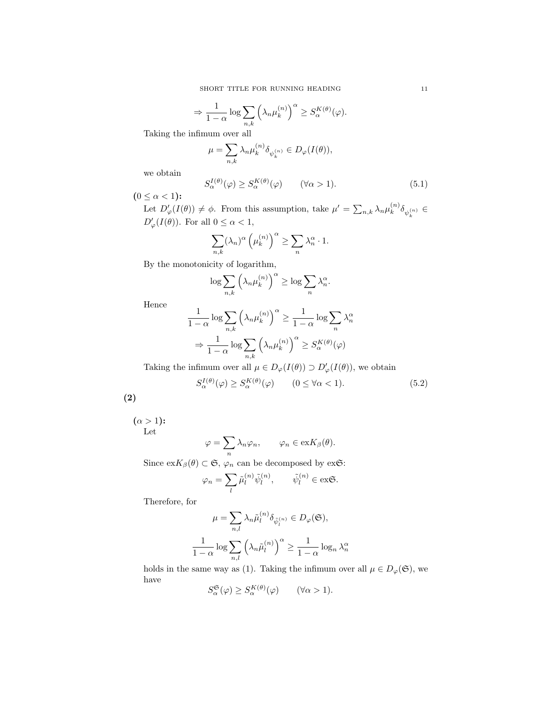$$
\Rightarrow \frac{1}{1-\alpha} \log \sum_{n,k} \left( \lambda_n \mu_k^{(n)} \right)^{\alpha} \ge S_{\alpha}^{K(\theta)}(\varphi).
$$

Taking the infimum over all

$$
\mu = \sum_{n,k} \lambda_n \mu_k^{(n)} \delta_{\psi_k^{(n)}} \in D_{\varphi}(I(\theta)),
$$

we obtain

$$
S_{\alpha}^{I(\theta)}(\varphi) \ge S_{\alpha}^{K(\theta)}(\varphi) \qquad (\forall \alpha > 1). \tag{5.1}
$$

 $(0 \leq \alpha < 1)$ :

Let  $D'_{\varphi}(I(\theta)) \neq \phi$ . From this assumption, take  $\mu' = \sum_{n,k} \lambda_n \mu_k^{(n)} \delta_{\psi_k^{(n)}} \in$  $D'_{\varphi}(I(\theta))$ . For all  $0 \leq \alpha < 1$ ,

$$
\sum_{n,k} (\lambda_n)^{\alpha} \left(\mu_k^{(n)}\right)^{\alpha} \ge \sum_n \lambda_n^{\alpha} \cdot 1.
$$

By the monotonicity of logarithm,

$$
\log \sum_{n,k} \left( \lambda_n \mu_k^{(n)} \right)^{\alpha} \ge \log \sum_n \lambda_n^{\alpha}.
$$

Hence

$$
\frac{1}{1-\alpha} \log \sum_{n,k} \left(\lambda_n \mu_k^{(n)}\right)^{\alpha} \ge \frac{1}{1-\alpha} \log \sum_n \lambda_n^{\alpha}
$$

$$
\Rightarrow \frac{1}{1-\alpha} \log \sum_{n,k} \left(\lambda_n \mu_k^{(n)}\right)^{\alpha} \ge S_{\alpha}^{K(\theta)}(\varphi)
$$

Taking the infimum over all  $\mu \in D_{\varphi}(I(\theta)) \supset D'_{\varphi}(I(\theta))$ , we obtain

$$
S_{\alpha}^{I(\theta)}(\varphi) \ge S_{\alpha}^{K(\theta)}(\varphi) \qquad (0 \le \forall \alpha < 1). \tag{5.2}
$$

(2)

 $(\alpha > 1)$ : Let

$$
\varphi = \sum_{n} \lambda_n \varphi_n, \qquad \varphi_n \in \text{ex} K_\beta(\theta).
$$

Since  $\mathrm{ex} K_{\beta}(\theta) \subset \mathfrak{S}, \varphi_n$  can be decomposed by ex $\mathfrak{S}$ :

$$
\varphi_n = \sum_l \tilde{\mu}_l^{(n)} \tilde{\psi}_l^{(n)}, \qquad \tilde{\psi}_l^{(n)} \in \text{ex}\mathfrak{S}.
$$

Therefore, for

$$
\mu = \sum_{n,l} \lambda_n \tilde{\mu}_l^{(n)} \delta_{\tilde{\psi}_l^{(n)}} \in D_{\varphi}(\mathfrak{S}),
$$

$$
\frac{1}{1-\alpha} \log \sum_{n,l} \left(\lambda_n \tilde{\mu}_l^{(n)}\right)^{\alpha} \ge \frac{1}{1-\alpha} \log_n \lambda_n^{\alpha}
$$

holds in the same way as (1). Taking the infimum over all  $\mu \in D_{\varphi}(\mathfrak{S})$ , we have

$$
S_{\alpha}^{\mathfrak{S}}(\varphi) \ge S_{\alpha}^{K(\theta)}(\varphi) \qquad (\forall \alpha > 1).
$$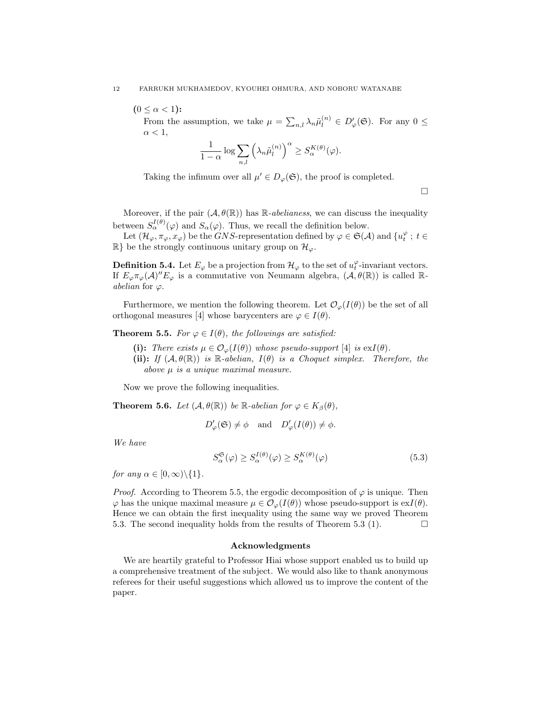$(0 \leq \alpha < 1)$ :

From the assumption, we take  $\mu = \sum_{n,l} \lambda_n \tilde{\mu}_l^{(n)} \in D'_{\varphi}(\mathfrak{S})$ . For any  $0 \leq$  $\alpha < 1$ ,

$$
\frac{1}{1-\alpha}\log\sum_{n,l}\left(\lambda_n\tilde{\mu}_l^{(n)}\right)^{\alpha}\geq S_{\alpha}^{K(\theta)}(\varphi).
$$

Taking the infimum over all  $\mu' \in D_{\varphi}(\mathfrak{S})$ , the proof is completed.

 $\Box$ 

Moreover, if the pair  $(A, \theta(\mathbb{R}))$  has  $\mathbb{R}$ -*abelianess*, we can discuss the inequality between  $S^{I(\theta)}_{\alpha}(\varphi)$  and  $S_{\alpha}(\varphi)$ . Thus, we recall the definition below.

Let  $(\mathcal{H}_{\varphi}, \pi_{\varphi}, x_{\varphi})$  be the *GNS*-representation defined by  $\varphi \in \mathfrak{S}(\mathcal{A})$  and  $\{u_t^{\varphi} : t \in$  $\mathbb{R}$ } be the strongly continuous unitary group on  $\mathcal{H}_{\varphi}$ .

**Definition 5.4.** Let  $E_{\varphi}$  be a projection from  $\mathcal{H}_{\varphi}$  to the set of  $u_t^{\varphi}$ -invariant vectors. If  $E_{\varphi}\pi_{\varphi}(\mathcal{A})''E_{\varphi}$  is a commutative von Neumann algebra,  $(\mathcal{A}, \theta(\mathbb{R}))$  is called R*abelian* for  $\varphi$ .

Furthermore, we mention the following theorem. Let  $\mathcal{O}_{\varphi}(I(\theta))$  be the set of all orthogonal measures [4] whose barycenters are  $\varphi \in I(\theta)$ .

**Theorem 5.5.** *For*  $\varphi \in I(\theta)$ *, the followings are satisfied:* 

(i): *There exists*  $\mu \in \mathcal{O}_{\varphi}(I(\theta))$  whose pseudo-support [4] *is* ex $I(\theta)$ *.* (ii): *If*  $(A, \theta(\mathbb{R}))$  *is*  $\mathbb{R}$ *-abelian,*  $I(\theta)$  *is a Choquet simplex. Therefore, the above µ is a unique maximal measure.*

Now we prove the following inequalities.

**Theorem 5.6.** *Let*  $(A, \theta(\mathbb{R}))$  *be*  $\mathbb{R}$ *-abelian for*  $\varphi \in K_{\beta}(\theta)$ *,* 

$$
D'_{\varphi}(\mathfrak{S}) \neq \phi
$$
 and  $D'_{\varphi}(I(\theta)) \neq \phi$ .

*We have*

$$
S_{\alpha}^{\mathfrak{S}}(\varphi) \ge S_{\alpha}^{I(\theta)}(\varphi) \ge S_{\alpha}^{K(\theta)}(\varphi)
$$
\n
$$
(5.3)
$$

*for any*  $\alpha \in [0, \infty) \setminus \{1\}$ *.* 

*Proof.* According to Theorem 5.5, the ergodic decomposition of  $\varphi$  is unique. Then  $\varphi$  has the unique maximal measure  $\mu \in \mathcal{O}_{\varphi}(I(\theta))$  whose pseudo-support is  $\mathrm{ex}I(\theta)$ . Hence we can obtain the first inequality using the same way we proved Theorem 5.3. The second inequality holds from the results of Theorem 5.3 (1).  $\Box$ 

#### Acknowledgments

We are heartily grateful to Professor Hiai whose support enabled us to build up a comprehensive treatment of the subject. We would also like to thank anonymous referees for their useful suggestions which allowed us to improve the content of the paper.